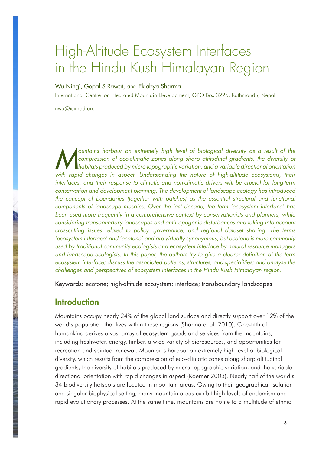# High-Altitude Ecosystem Interfaces in the Hindu Kush Himalayan Region

#### Wu Ning\* , Gopal S Rawat, and Eklabya Sharma

International Centre for Integrated Mountain Development, GPO Box 3226, Kathmandu, Nepal

nwu@icimod.org

**M** compression of eco-climatic zones along sharp altitudinal gradients, the diversity of habitats produced by micro-topographic variation, and a variable directional orientation with rapid changes in aspect. Understanding compression of eco-climatic zones along sharp altitudinal gradients, the diversity of with rapid changes in aspect. Understanding the nature of high-altitude ecosystems, their *interfaces, and their response to climatic and non-climatic drivers will be crucial for long-term conservation and development planning. The development of landscape ecology has introduced the concept of boundaries (together with patches) as the essential structural and functional components of landscape mosaics. Over the last decade, the term 'ecosystem interface' has*  been used more frequently in a comprehensive context by conservationists and planners, while *considering transboundary landscapes and anthropogenic disturbances and taking into account crosscutting issues related to policy, governance, and regional dataset sharing. The terms 'ecosystem interface' and 'ecotone' and are virtually synonymous, but ecotone is more commonly used by traditional community ecologists and ecosystem interface by natural resource managers and landscape ecologists. In this paper, the authors try to give a clearer definition of the term ecosystem interface; discuss the associated patterns, structures, and specialities; and analyse the challenges and perspectives of ecosystem interfaces in the Hindu Kush Himalayan region.*

Keywords: ecotone; high-altitude ecosystem; interface; transboundary landscapes

#### Introduction

Mountains occupy nearly 24% of the global land surface and directly support over 12% of the world's population that lives within these regions (Sharma et al. 2010). One-fifth of humankind derives a vast array of ecosystem goods and services from the mountains, including freshwater, energy, timber, a wide variety of bioresources, and opportunities for recreation and spiritual renewal. Mountains harbour an extremely high level of biological diversity, which results from the compression of eco-climatic zones along sharp altitudinal gradients, the diversity of habitats produced by micro-topographic variation, and the variable directional orientation with rapid changes in aspect (Koerner 2003). Nearly half of the world's 34 biodiversity hotspots are located in mountain areas. Owing to their geographical isolation and singular biophysical setting, many mountain areas exhibit high levels of endemism and rapid evolutionary processes. At the same time, mountains are home to a multitude of ethnic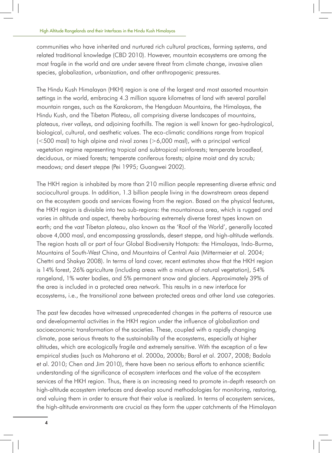communities who have inherited and nurtured rich cultural practices, farming systems, and related traditional knowledge (CBD 2010). However, mountain ecosystems are among the most fragile in the world and are under severe threat from climate change, invasive alien species, globalization, urbanization, and other anthropogenic pressures.

The Hindu Kush Himalayan (HKH) region is one of the largest and most assorted mountain settings in the world, embracing 4.3 million square kilometres of land with several parallel mountain ranges, such as the Karakoram, the Hengduan Mountains, the Himalayas, the Hindu Kush, and the Tibetan Plateau, all comprising diverse landscapes of mountains, plateaus, river valleys, and adjoining foothills. The region is well known for geo-hydrological, biological, cultural, and aesthetic values. The eco-climatic conditions range from tropical  $\approx$  100 masl) to high alpine and nival zones ( $>$ 6,000 masl), with a principal vertical vegetation regime representing tropical and subtropical rainforests; temperate broadleaf, deciduous, or mixed forests; temperate coniferous forests; alpine moist and dry scrub; meadows; and desert steppe (Pei 1995; Guangwei 2002).

The HKH region is inhabited by more than 210 million people representing diverse ethnic and sociocultural groups. In addition, 1.3 billion people living in the downstream areas depend on the ecosystem goods and services flowing from the region. Based on the physical features, the HKH region is divisible into two sub-regions: the mountainous area, which is rugged and varies in altitude and aspect, thereby harbouring extremely diverse forest types known on earth; and the vast Tibetan plateau, also known as the 'Roof of the World', generally located above 4,000 masl, and encompassing grasslands, desert steppe, and high-altitude wetlands. The region hosts all or part of four Global Biodiversity Hotspots: the Himalayas, Indo-Burma, Mountains of South-West China, and Mountains of Central Asia (Mittermeier et al. 2004; Chettri and Shakya 2008). In terms of land cover, recent estimates show that the HKH region is 14% forest, 26% agriculture (including areas with a mixture of natural vegetation), 54% rangeland, 1% water bodies, and 5% permanent snow and glaciers. Approximately 39% of the area is included in a protected area network. This results in a new interface for ecosystems, i.e., the transitional zone between protected areas and other land use categories.

The past few decades have witnessed unprecedented changes in the patterns of resource use and developmental activities in the HKH region under the influence of globalization and socioeconomic transformation of the societies. These, coupled with a rapidly changing climate, pose serious threats to the sustainability of the ecosystems, especially at higher altitudes, which are ecologically fragile and extremely sensitive. With the exception of a few empirical studies (such as Maharana et al. 2000a, 2000b; Baral et al. 2007, 2008; Badola et al. 2010; Chen and Jim 2010), there have been no serious efforts to enhance scientific understanding of the significance of ecosystem interfaces and the value of the ecosystem services of the HKH region. Thus, there is an increasing need to promote in-depth research on high-altitude ecosystem interfaces and develop sound methodologies for monitoring, restoring, and valuing them in order to ensure that their value is realized. In terms of ecosystem services, the high-altitude environments are crucial as they form the upper catchments of the Himalayan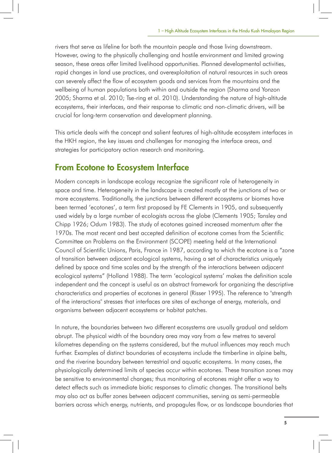rivers that serve as lifeline for both the mountain people and those living downstream. However, owing to the physically challenging and hostile environment and limited growing season, these areas offer limited livelihood opportunities. Planned developmental activities, rapid changes in land use practices, and overexploitation of natural resources in such areas can severely affect the flow of ecosystem goods and services from the mountains and the wellbeing of human populations both within and outside the region (Sharma and Yonzon 2005; Sharma et al. 2010; Tse-ring et al. 2010). Understanding the nature of high-altitude ecosystems, their interfaces, and their response to climatic and non-climatic drivers, will be crucial for long-term conservation and development planning.

This article deals with the concept and salient features of high-altitude ecosystem interfaces in the HKH region, the key issues and challenges for managing the interface areas, and strategies for participatory action research and monitoring.

### From Ecotone to Ecosystem Interface

Modern concepts in landscape ecology recognize the significant role of heterogeneity in space and time. Heterogeneity in the landscape is created mostly at the junctions of two or more ecosystems. Traditionally, the junctions between different ecosystems or biomes have been termed 'ecotones', a term first proposed by FE Clements in 1905, and subsequently used widely by a large number of ecologists across the globe (Clements 1905; Tansley and Chipp 1926; Odum 1983). The study of ecotones gained increased momentum after the 1970s. The most recent and best accepted definition of ecotone comes from the Scientific Committee on Problems on the Environment (SCOPE) meeting held at the International Council of Scientific Unions, Paris, France in 1987, according to which the ecotone is a "zone of transition between adjacent ecological systems, having a set of characteristics uniquely defined by space and time scales and by the strength of the interactions between adjacent ecological systems" (Holland 1988). The term 'ecological systems' makes the definition scale independent and the concept is useful as an abstract framework for organizing the descriptive characteristics and properties of ecotones in general (Risser 1995). The reference to "strength of the interactions" stresses that interfaces are sites of exchange of energy, materials, and organisms between adjacent ecosystems or habitat patches.

In nature, the boundaries between two different ecosystems are usually gradual and seldom abrupt. The physical width of the boundary area may vary from a few metres to several kilometres depending on the systems considered, but the mutual influences may reach much further. Examples of distinct boundaries of ecosystems include the timberline in alpine belts, and the riverine boundary between terrestrial and aquatic ecosystems. In many cases, the physiologically determined limits of species occur within ecotones. These transition zones may be sensitive to environmental changes; thus monitoring of ecotones might offer a way to detect effects such as immediate biotic responses to climatic changes. The transitional belts may also act as buffer zones between adjacent communities, serving as semi-permeable barriers across which energy, nutrients, and propagules flow, or as landscape boundaries that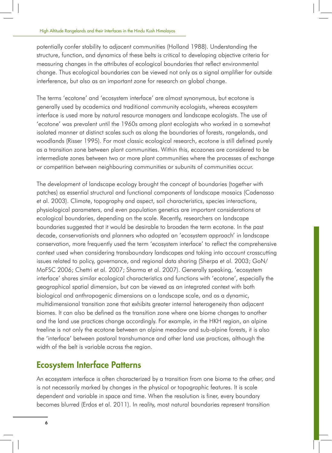potentially confer stability to adjacent communities (Holland 1988). Understanding the structure, function, and dynamics of these belts is critical to developing objective criteria for measuring changes in the attributes of ecological boundaries that reflect environmental change. Thus ecological boundaries can be viewed not only as a signal amplifier for outside interference, but also as an important zone for research on global change.

The terms 'ecotone' and 'ecosystem interface' are almost synonymous, but ecotone is generally used by academics and traditional community ecologists, whereas ecosystem interface is used more by natural resource managers and landscape ecologists. The use of 'ecotone' was prevalent until the 1960s among plant ecologists who worked in a somewhat isolated manner at distinct scales such as along the boundaries of forests, rangelands, and woodlands (Risser 1995). For most classic ecological research, ecotone is still defined purely as a transition zone between plant communities. Within this, ecozones are considered to be intermediate zones between two or more plant communities where the processes of exchange or competition between neighbouring communities or subunits of communities occur.

The development of landscape ecology brought the concept of boundaries (together with patches) as essential structural and functional components of landscape mosaics (Cadenasso et al. 2003). Climate, topography and aspect, soil characteristics, species interactions, physiological parameters, and even population genetics are important considerations at ecological boundaries, depending on the scale. Recently, researchers on landscape boundaries suggested that it would be desirable to broaden the term ecotone. In the past decade, conservationists and planners who adopted an 'ecosystem approach' in landscape conservation, more frequently used the term 'ecosystem interface' to reflect the comprehensive context used when considering transboundary landscapes and taking into account crosscutting issues related to policy, governance, and regional data sharing (Sherpa et al. 2003; GoN/ MoFSC 2006; Chettri et al. 2007; Sharma et al. 2007). Generally speaking, 'ecosystem interface' shares similar ecological characteristics and functions with 'ecotone', especially the geographical spatial dimension, but can be viewed as an integrated context with both biological and anthropogenic dimensions on a landscape scale, and as a dynamic, multidimensional transition zone that exhibits greater internal heterogeneity than adjacent biomes. It can also be defined as the transition zone where one biome changes to another and the land use practices change accordingly. For example, in the HKH region, an alpine treeline is not only the ecotone between an alpine meadow and sub-alpine forests, it is also the 'interface' between pastoral transhumance and other land use practices, although the width of the belt is variable across the region.

## Ecosystem Interface Patterns

An ecosystem interface is often characterized by a transition from one biome to the other, and is not necessarily marked by changes in the physical or topographic features. It is scale dependent and variable in space and time. When the resolution is finer, every boundary becomes blurred (Erdos et al. 2011). In reality, most natural boundaries represent transition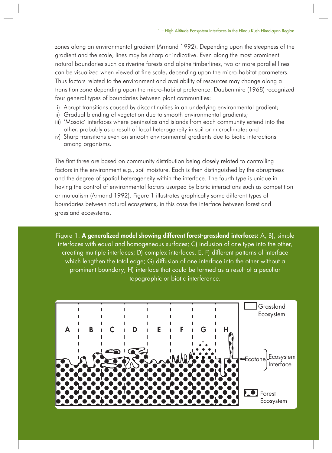zones along an environmental gradient (Armand 1992). Depending upon the steepness of the gradient and the scale, lines may be sharp or indicative. Even along the most prominent natural boundaries such as riverine forests and alpine timberlines, two or more parallel lines can be visualized when viewed at fine scale, depending upon the micro-habitat parameters. Thus factors related to the environment and availability of resources may change along a transition zone depending upon the micro-habitat preference. Daubenmire (1968) recognized four general types of boundaries between plant communities:

- i) Abrupt transitions caused by discontinuities in an underlying environmental gradient;
- ii) Gradual blending of vegetation due to smooth environmental gradients;
- iii) 'Mosaic' interfaces where peninsulas and islands from each community extend into the other, probably as a result of local heterogeneity in soil or microclimate; and
- iv) Sharp transitions even on smooth environmental gradients due to biotic interactions among organisms.

The first three are based on community distribution being closely related to controlling factors in the environment e.g., soil moisture. Each is then distinguished by the abruptness and the degree of spatial heterogeneity within the interface. The fourth type is unique in having the control of environmental factors usurped by biotic interactions such as competition or mutualism (Armand 1992). Figure 1 illustrates graphically some different types of boundaries between natural ecosystems, in this case the interface between forest and grassland ecosystems.

Figure 1: A generalized model showing different forest-grassland interfaces: A, B), simple interfaces with equal and homogeneous surfaces; C) inclusion of one type into the other, creating multiple interfaces; D) complex interfaces, E, F) different patterns of interface which lengthen the total edge; G) diffusion of one interface into the other without a prominent boundary; H) interface that could be formed as a result of a peculiar topographic or biotic interference.

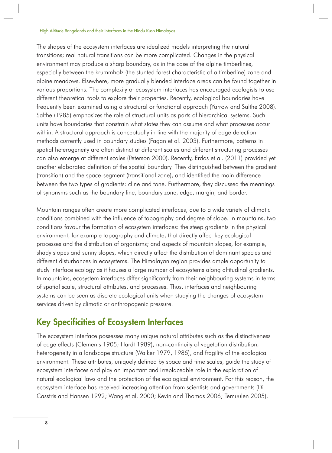The shapes of the ecosystem interfaces are idealized models interpreting the natural transitions; real natural transitions can be more complicated. Changes in the physical environment may produce a sharp boundary, as in the case of the alpine timberlines, especially between the krummholz (the stunted forest characteristic of a timberline) zone and alpine meadows. Elsewhere, more gradually blended interface areas can be found together in various proportions. The complexity of ecosystem interfaces has encouraged ecologists to use different theoretical tools to explore their properties. Recently, ecological boundaries have frequently been examined using a structural or functional approach (Yarrow and Salthe 2008). Salthe (1985) emphasizes the role of structural units as parts of hierarchical systems. Such units have boundaries that constrain what states they can assume and what processes occur within. A structural approach is conceptually in line with the majority of edge detection methods currently used in boundary studies (Fagan et al. 2003). Furthermore, patterns in spatial heterogeneity are often distinct at different scales and different structuring processes can also emerge at different scales (Peterson 2000). Recently, Erdos et al. (2011) provided yet another elaborated definition of the spatial boundary. They distinguished between the gradient (transition) and the space-segment (transitional zone), and identified the main difference between the two types of gradients: cline and tone. Furthermore, they discussed the meanings of synonyms such as the boundary line, boundary zone, edge, margin, and border.

Mountain ranges often create more complicated interfaces, due to a wide variety of climatic conditions combined with the influence of topography and degree of slope. In mountains, two conditions favour the formation of ecosystem interfaces: the steep gradients in the physical environment, for example topography and climate, that directly affect key ecological processes and the distribution of organisms; and aspects of mountain slopes, for example, shady slopes and sunny slopes, which directly affect the distribution of dominant species and different disturbances in ecosystems. The Himalayan region provides ample opportunity to study interface ecology as it houses a large number of ecosystems along altitudinal gradients. In mountains, ecosystem interfaces differ significantly from their neighbouring systems in terms of spatial scale, structural attributes, and processes. Thus, interfaces and neighbouring systems can be seen as discrete ecological units when studying the changes of ecosystem services driven by climatic or anthropogenic pressure.

# Key Specificities of Ecosystem Interfaces

The ecosystem interface possesses many unique natural attributes such as the distinctiveness of edge effects (Clements 1905; Hardt 1989), non-continuity of vegetation distribution, heterogeneity in a landscape structure (Walker 1979, 1985), and fragility of the ecological environment. These attributes, uniquely defined by space and time scales, guide the study of ecosystem interfaces and play an important and irreplaceable role in the exploration of natural ecological laws and the protection of the ecological environment. For this reason, the ecosystem interface has received increasing attention from scientists and governments (Di Casstris and Hansen 1992; Wang et al. 2000; Kevin and Thomas 2006; Temuulen 2005).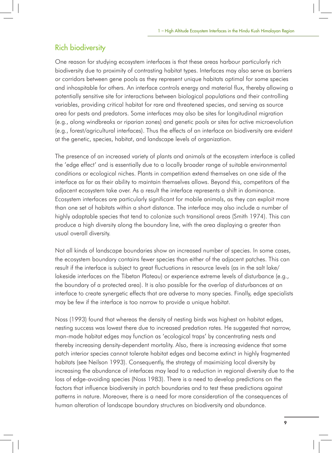#### Rich biodiversity

One reason for studying ecosystem interfaces is that these areas harbour particularly rich biodiversity due to proximity of contrasting habitat types. Interfaces may also serve as barriers or corridors between gene pools as they represent unique habitats optimal for some species and inhospitable for others. An interface controls energy and material flux, thereby allowing a potentially sensitive site for interactions between biological populations and their controlling variables, providing critical habitat for rare and threatened species, and serving as source area for pests and predators. Some interfaces may also be sites for longitudinal migration (e.g., along windbreaks or riparian zones) and genetic pools or sites for active microevolution (e.g., forest/agricultural interfaces). Thus the effects of an interface on biodiversity are evident at the genetic, species, habitat, and landscape levels of organization.

The presence of an increased variety of plants and animals at the ecosystem interface is called the 'edge effect' and is essentially due to a locally broader range of suitable environmental conditions or ecological niches. Plants in competition extend themselves on one side of the interface as far as their ability to maintain themselves allows. Beyond this, competitors of the adjacent ecosystem take over. As a result the interface represents a shift in dominance. Ecosystem interfaces are particularly significant for mobile animals, as they can exploit more than one set of habitats within a short distance. The interface may also include a number of highly adaptable species that tend to colonize such transitional areas (Smith 1974). This can produce a high diversity along the boundary line, with the area displaying a greater than usual overall diversity.

Not all kinds of landscape boundaries show an increased number of species. In some cases, the ecosystem boundary contains fewer species than either of the adjacent patches. This can result if the interface is subject to great fluctuations in resource levels (as in the salt lake/ lakeside interfaces on the Tibetan Plateau) or experience extreme levels of disturbance (e.g., the boundary of a protected area). It is also possible for the overlap of disturbances at an interface to create synergetic effects that are adverse to many species. Finally, edge specialists may be few if the interface is too narrow to provide a unique habitat.

Noss (1993) found that whereas the density of nesting birds was highest on habitat edges, nesting success was lowest there due to increased predation rates. He suggested that narrow, man-made habitat edges may function as 'ecological traps' by concentrating nests and thereby increasing density-dependent mortality. Also, there is increasing evidence that some patch interior species cannot tolerate habitat edges and become extinct in highly fragmented habitats (see Neilson 1993). Consequently, the strategy of maximizing local diversity by increasing the abundance of interfaces may lead to a reduction in regional diversity due to the loss of edge-avoiding species (Noss 1983). There is a need to develop predictions on the factors that influence biodiversity in patch boundaries and to test these predictions against patterns in nature. Moreover, there is a need for more consideration of the consequences of human alteration of landscape boundary structures on biodiversity and abundance.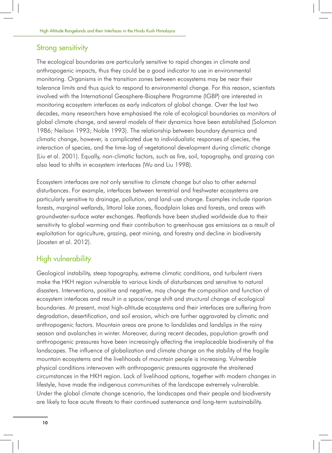#### Strong sensitivity

The ecological boundaries are particularly sensitive to rapid changes in climate and anthropogenic impacts, thus they could be a good indicator to use in environmental monitoring. Organisms in the transition zones between ecosystems may be near their tolerance limits and thus quick to respond to environmental change. For this reason, scientists involved with the International Geosphere-Biosphere Programme (IGBP) are interested in monitoring ecosystem interfaces as early indicators of global change. Over the last two decades, many researchers have emphasised the role of ecological boundaries as monitors of global climate change, and several models of their dynamics have been established (Solomon 1986; Neilson 1993; Noble 1993). The relationship between boundary dynamics and climatic change, however, is complicated due to individualistic responses of species, the interaction of species, and the time-lag of vegetational development during climatic change (Liu et al. 2001). Equally, non-climatic factors, such as fire, soil, topography, and grazing can also lead to shifts in ecosystem interfaces (Wu and Liu 1998).

Ecosystem interfaces are not only sensitive to climate change but also to other external disturbances. For example, interfaces between terrestrial and freshwater ecosystems are particularly sensitive to drainage, pollution, and land-use change. Examples include riparian forests, marginal wetlands, littoral lake zones, floodplain lakes and forests, and areas with groundwater-surface water exchanges. Peatlands have been studied worldwide due to their sensitivity to global warming and their contribution to greenhouse gas emissions as a result of exploitation for agriculture, grazing, peat mining, and forestry and decline in biodiversity (Joosten et al. 2012).

#### High vulnerability

Geological instability, steep topography, extreme climatic conditions, and turbulent rivers make the HKH region vulnerable to various kinds of disturbances and sensitive to natural disasters. Interventions, positive and negative, may change the composition and function of ecosystem interfaces and result in a space/range shift and structural change of ecological boundaries. At present, most high-altitude ecosystems and their interfaces are suffering from degradation, desertification, and soil erosion, which are further aggravated by climatic and anthropogenic factors. Mountain areas are prone to landslides and landslips in the rainy season and avalanches in winter. Moreover, during recent decades, population growth and anthropogenic pressures have been increasingly affecting the irreplaceable biodiversity of the landscapes. The influence of globalization and climate change on the stability of the fragile mountain ecosystems and the livelihoods of mountain people is increasing. Vulnerable physical conditions interwoven with anthropogenic pressures aggravate the straitened circumstances in the HKH region. Lack of livelihood options, together with modern changes in lifestyle, have made the indigenous communities of the landscape extremely vulnerable. Under the global climate change scenario, the landscapes and their people and biodiversity are likely to face acute threats to their continued sustenance and long-term sustainability.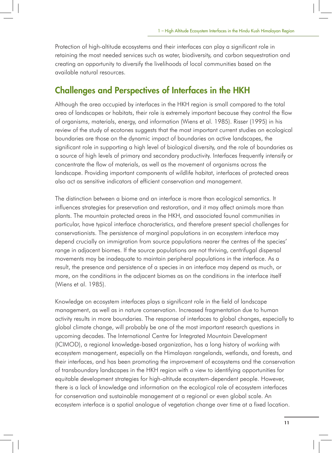Protection of high-altitude ecosystems and their interfaces can play a significant role in retaining the most needed services such as water, biodiversity, and carbon sequestration and creating an opportunity to diversify the livelihoods of local communities based on the available natural resources.

#### Challenges and Perspectives of Interfaces in the HKH

Although the area occupied by interfaces in the HKH region is small compared to the total area of landscapes or habitats, their role is extremely important because they control the flow of organisms, materials, energy, and information (Wiens et al. 1985). Risser (1995) in his review of the study of ecotones suggests that the most important current studies on ecological boundaries are those on the dynamic impact of boundaries on active landscapes, the significant role in supporting a high level of biological diversity, and the role of boundaries as a source of high levels of primary and secondary productivity. Interfaces frequently intensify or concentrate the flow of materials, as well as the movement of organisms across the landscape. Providing important components of wildlife habitat, interfaces of protected areas also act as sensitive indicators of efficient conservation and management.

The distinction between a biome and an interface is more than ecological semantics. It influences strategies for preservation and restoration, and it may affect animals more than plants. The mountain protected areas in the HKH, and associated faunal communities in particular, have typical interface characteristics, and therefore present special challenges for conservationists. The persistence of marginal populations in an ecosystem interface may depend crucially on immigration from source populations nearer the centres of the species' range in adjacent biomes. If the source populations are not thriving, centrifugal dispersal movements may be inadequate to maintain peripheral populations in the interface. As a result, the presence and persistence of a species in an interface may depend as much, or more, on the conditions in the adjacent biomes as on the conditions in the interface itself (Wiens et al. 1985).

Knowledge on ecosystem interfaces plays a significant role in the field of landscape management, as well as in nature conservation. Increased fragmentation due to human activity results in more boundaries. The response of interfaces to global changes, especially to global climate change, will probably be one of the most important research questions in upcoming decades. The International Centre for Integrated Mountain Development (ICIMOD), a regional knowledge-based organization, has a long history of working with ecosystem management, especially on the Himalayan rangelands, wetlands, and forests, and their interfaces, and has been promoting the improvement of ecosystems and the conservation of transboundary landscapes in the HKH region with a view to identifying opportunities for equitable development strategies for high-altitude ecosystem-dependent people. However, there is a lack of knowledge and information on the ecological role of ecosystem interfaces for conservation and sustainable management at a regional or even global scale. An ecosystem interface is a spatial analogue of vegetation change over time at a fixed location.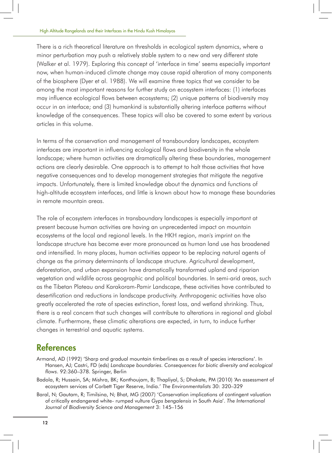There is a rich theoretical literature on thresholds in ecological system dynamics, where a minor perturbation may push a relatively stable system to a new and very different state (Walker et al. 1979). Exploring this concept of 'interface in time' seems especially important now, when human-induced climate change may cause rapid alteration of many components of the biosphere (Dyer et al. 1988). We will examine three topics that we consider to be among the most important reasons for further study on ecosystem interfaces: (1) interfaces may influence ecological flows between ecosystems; (2) unique patterns of biodiversity may occur in an interface; and (3) humankind is substantially altering interface patterns without knowledge of the consequences. These topics will also be covered to some extent by various articles in this volume.

In terms of the conservation and management of transboundary landscapes, ecosystem interfaces are important in influencing ecological flows and biodiversity in the whole landscape; where human activities are dramatically altering these boundaries, management actions are clearly desirable. One approach is to attempt to halt those activities that have negative consequences and to develop management strategies that mitigate the negative impacts. Unfortunately, there is limited knowledge about the dynamics and functions of high-altitude ecosystem interfaces, and little is known about how to manage these boundaries in remote mountain areas.

The role of ecosystem interfaces in transboundary landscapes is especially important at present because human activities are having an unprecedented impact on mountain ecosystems at the local and regional levels. In the HKH region, man's imprint on the landscape structure has become ever more pronounced as human land use has broadened and intensified. In many places, human activities appear to be replacing natural agents of change as the primary determinants of landscape structure. Agricultural development, deforestation, and urban expansion have dramatically transformed upland and riparian vegetation and wildlife across geographic and political boundaries. In semi-arid areas, such as the Tibetan Plateau and Karakoram-Pamir Landscape, these activities have contributed to desertification and reductions in landscape productivity. Anthropogenic activities have also greatly accelerated the rate of species extinction, forest loss, and wetland shrinking. Thus, there is a real concern that such changes will contribute to alterations in regional and global climate. Furthermore, these climatic alterations are expected, in turn, to induce further changes in terrestrial and aquatic systems.

# **References**

- Armand, AD (1992) 'Sharp and gradual mountain timberlines as a result of species interactions'. In Hansen, AJ; Castri, FD (eds) *Landscape boundaries. Consequences for biotic diversity and ecological flows*. 92:360–378. Springer, Berlin
- Badola, R; Hussain, SA; Mishra, BK; Konthoujam, B; Thapliyal, S; Dhakate, PM (2010) 'An assessment of ecosystem services of Corbett Tiger Reserve, India.' *The Environmentalists* 30: 320–329
- Baral, N; Gautam, R; Timilsina, N; Bhat, MG (2007) 'Conservation implications of contingent valuation of critically endangered white- rumped vulture *Gyps bengalensis* in South Asia'. *The International Journal of Biodiversity Science and Management* 3: 145–156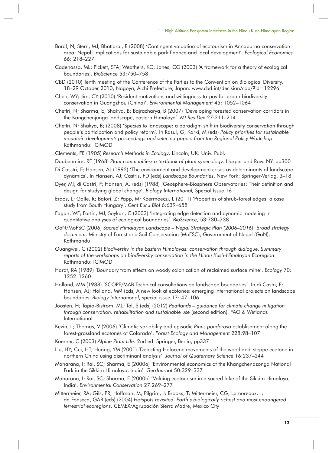- Baral, N; Stern, MJ; Bhattarai, R (2008) 'Contingent valuation of ecotourism in Annapurna conservation area, Nepal: Implications for sustainable park finance and local development'. *Ecological Economics*  66: 218–227
- Cadenasso, ML; Pickett, STA; Weathers, KC; Jones, CG (2003) 'A framework for a theory of ecological boundaries'. *BioScience* 53:750–758
- CBD (2010) Tenth meeting of the Conference of the Parties to the Convention on Biological Diversity, 18–29 October 2010, Nagoya, Aichi Prefecture, Japan. www.cbd.int/decision/cop/?id=12296
- Chen, WY; Jim, CY (2010) 'Resident motivations and willingness-to-pay for urban biodiversity conservation in Guangzhou (China)'. *Environmental Management* 45: 1052–1064
- Chettri, N; Sharma, E; Shakya, B; Bajracharya, B (2007) 'Developing forested conservation corridors in the Kangchenjunga landscape, eastern Himalaya'. *Mt Res Dev* 27:211–214
- Chettri, N; Shakya, B; (2008) 'Species to landscape: a paradigm shift in biodiversity conservation through people's participation and policy reform'. In Rasul, G; Karki, M (eds) *Policy priorities for sustainable mountain development: proceedings and selected papers from the Regional Policy Workshop*. Kathmandu: ICIMOD
- Clements, FE (1905) *Research Methods in Ecology*. Lincoln, UK: Univ. Publ.
- Daubenmire, RF (1968) *Plant communities: a textbook of plant synecology*. Harper and Row. NY. pp300
- Di Casstri, F; Hansen, AJ (1992) 'The environment and development crises as determinants of landscape dynamics'. In Hansen, AJ; Castris, FD (eds) *Landscape Boundaries*. New York: Springer-Verlag, 3–18
- Dyer, MI; di Castri, F; Hansen, AJ (eds) (1988) 'Geosphere-Biosphere Observatories: Their definition and design for studying global change'. *Biology International,* Special Issue 16
- Erdos, L; Galle, R; Batori, Z; Papp, M; Koermoeczi, L (2011) 'Properties of shrub-forest edges: a case study from South Hungary'. *Cent Eur J Biol* 6:639–658
- Fagan, WF; Fortin, MJ; Soykan, C (2003) 'Integrating edge detection and dynamic modeling in quantitative analyses of ecological boundaries'. *BioScience*, 53:730–738
- GoN/MoFSC (2006) *Sacred Himalayan Landscape Nepal Strategic Plan (2006–2016): broad strategy document*. Ministry of Forest and Soil Conservation (MoFSC), Government of Nepal (GoN), Kathmandu
- Guangwei, C (2002) *Biodiversity in the Eastern Himalayas: conservation through dialogue. Summary reports of the workshops on biodiversity conservation in the Hindu Kush-Himalayan Ecoregion*. Kathmandu: ICIMOD
- Hardt, RA (1989) 'Boundary from effects on woody colonization of reclaimed surface mine'. *Ecology* 70: 1252–1260
- Holland, MM (1988) 'SCOPE/MAB Technical consultations on landscape boundaries'. In di Castri, F; Hansen, AJ; Holland, MM (Eds) A new look at ecotones: emerging international projects on landscape boundaries. *Biology International*, special issue 17: 47–106
- Joosten, H; Tapio-Bistrom, ML; Tol, S (eds) (2012) *Peatlands guidance for climate change mitigation through conservation, rehabilitation and sustainable use* (second edition). FAO & Wetlands International
- Kevin, L; Thomas, V (2006) 'Climatic variability and episodic *Pinus ponderosa* establishment along the forest-grassland ecotones of Colorado'. *Forest Ecology and Management* 228:98–107
- Koerner, C (2003) *Alpine Plant Life*. 2nd ed. Springer, Berlin, pp337
- Liu, HY; Cui, HT; Huang, YM (2001) 'Detecting Holocene movements of the woodland–steppe ecotone in northern China using discriminant analysis'. *Journal of Quaternary Science* 16:237–244
- Maharana, I; Rai, SC; Sharma, E (2000a) 'Environmental economics of the Khangchendzonga National Park in the Sikkim Himalaya, India'. *GeoJournal* 50:329–337
- Maharana, I; Rai, SC; Sharma, E (2000b) 'Valuing ecotourism in a sacred lake of the Sikkim Himalaya, India'. *Environmental Conservation* 27:269–277
- Mittermeier, RA; Gils, PR; Hoffman, M; Pilgrim, J; Brooks, T; Mittermeier, CG; Lamoreaux, J; da Fonseca, GAB (eds) (2004) *Hotspots revisited. Earth's biologically richest and most endangered terrestrial ecoregions*. CEMEX/Agrupación Sierra Madre, Mexico City